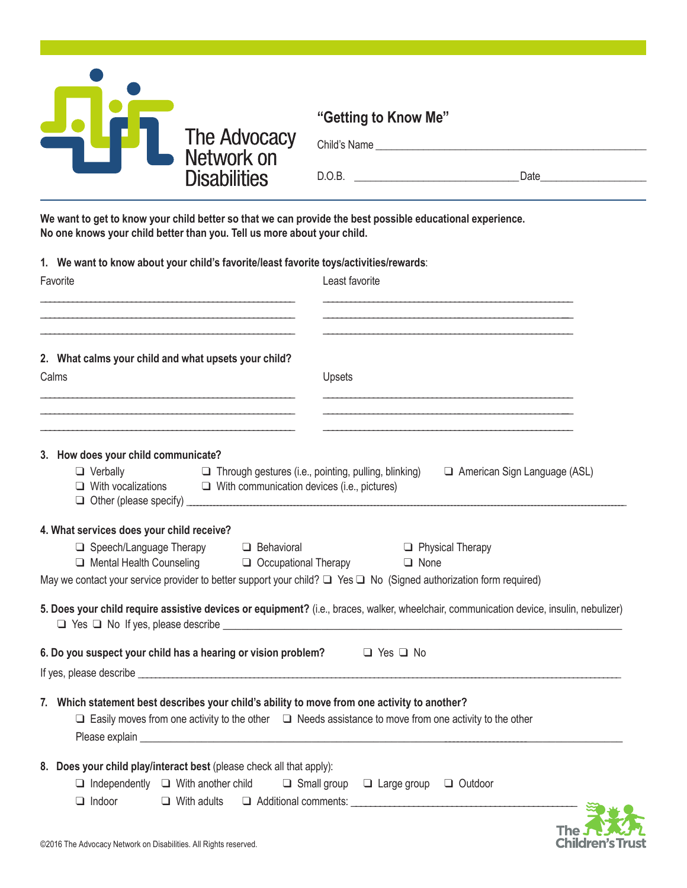

**We want to get to know your child better so that we can provide the best possible educational experience. No one knows your child better than you. Tell us more about your child.**

**1. We want to know about your child's favorite/least favorite toys/activities/rewards**:

| Favorite                                                                                                                                                                                                                                                                                                                             | Least favorite                                                                                                                          |
|--------------------------------------------------------------------------------------------------------------------------------------------------------------------------------------------------------------------------------------------------------------------------------------------------------------------------------------|-----------------------------------------------------------------------------------------------------------------------------------------|
| 2. What calms your child and what upsets your child?<br>Calms                                                                                                                                                                                                                                                                        | Upsets                                                                                                                                  |
| 3. How does your child communicate?<br>$\Box$ Verbally<br>$\Box$ Through gestures (i.e., pointing, pulling, blinking)<br>$\Box$ With vocalizations $\Box$ With communication devices (i.e., pictures)                                                                                                                                | American Sign Language (ASL)                                                                                                            |
| 4. What services does your child receive?<br>□ Speech/Language Therapy<br><b>Behavioral</b><br>□ Mental Health Counseling □ Occupational Therapy<br>May we contact your service provider to better support your child? $\Box$ Yes $\Box$ No (Signed authorization form required)                                                     | $\Box$ Physical Therapy<br>$\Box$ None                                                                                                  |
|                                                                                                                                                                                                                                                                                                                                      | 5. Does your child require assistive devices or equipment? (i.e., braces, walker, wheelchair, communication device, insulin, nebulizer) |
| 6. Do you suspect your child has a hearing or vision problem? $\Box$ Yes $\Box$ No<br>If yes, please describe expression and the state of the state of the state of the state of the state of the state of the state of the state of the state of the state of the state of the state of the state of the state of t                 |                                                                                                                                         |
| 7. Which statement best describes your child's ability to move from one activity to another?<br>$\Box$ Easily moves from one activity to the other $\Box$ Needs assistance to move from one activity to the other<br>Please explain explaint and the contract of the contract of the contract of the contract of the contract of the |                                                                                                                                         |
| 8. Does your child play/interact best (please check all that apply):<br>$\Box$ Independently $\Box$ With another child<br>$\Box$ Indoor                                                                                                                                                                                              | $\Box$ Small group $\Box$ Large group $\Box$ Outdoor<br>$\Box$ With adults $\Box$ Additional comments:                                  |